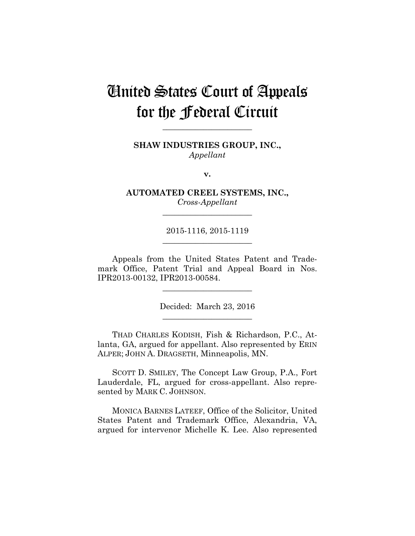# United States Court of Appeals for the Federal Circuit

**SHAW INDUSTRIES GROUP, INC.,** *Appellant*

**\_\_\_\_\_\_\_\_\_\_\_\_\_\_\_\_\_\_\_\_\_\_** 

**v.**

**AUTOMATED CREEL SYSTEMS, INC.,** *Cross-Appellant*

**\_\_\_\_\_\_\_\_\_\_\_\_\_\_\_\_\_\_\_\_\_\_** 

2015-1116, 2015-1119 **\_\_\_\_\_\_\_\_\_\_\_\_\_\_\_\_\_\_\_\_\_\_** 

Appeals from the United States Patent and Trademark Office, Patent Trial and Appeal Board in Nos. IPR2013-00132, IPR2013-00584.

> Decided: March 23, 2016 **\_\_\_\_\_\_\_\_\_\_\_\_\_\_\_\_\_\_\_\_\_\_**

**\_\_\_\_\_\_\_\_\_\_\_\_\_\_\_\_\_\_\_\_\_\_** 

THAD CHARLES KODISH, Fish & Richardson, P.C., Atlanta, GA, argued for appellant. Also represented by ERIN ALPER; JOHN A. DRAGSETH, Minneapolis, MN.

SCOTT D. SMILEY, The Concept Law Group, P.A., Fort Lauderdale, FL, argued for cross-appellant. Also represented by MARK C. JOHNSON.

MONICA BARNES LATEEF, Office of the Solicitor, United States Patent and Trademark Office, Alexandria, VA, argued for intervenor Michelle K. Lee. Also represented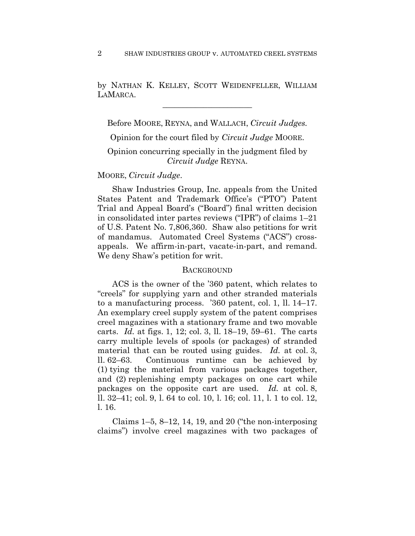by NATHAN K. KELLEY, SCOTT WEIDENFELLER, WILLIAM LAMARCA.

**\_\_\_\_\_\_\_\_\_\_\_\_\_\_\_\_\_\_\_\_\_\_** 

Before MOORE, REYNA, and WALLACH, *Circuit Judges.*

Opinion for the court filed by *Circuit Judge* MOORE.

# Opinion concurring specially in the judgment filed by *Circuit Judge* REYNA.

# MOORE, *Circuit Judge*.

Shaw Industries Group, Inc. appeals from the United States Patent and Trademark Office's ("PTO") Patent Trial and Appeal Board's ("Board") final written decision in consolidated inter partes reviews ("IPR") of claims 1–21 of U.S. Patent No. 7,806,360. Shaw also petitions for writ of mandamus. Automated Creel Systems ("ACS") crossappeals. We affirm-in-part, vacate-in-part, and remand. We deny Shaw's petition for writ.

### **BACKGROUND**

ACS is the owner of the '360 patent, which relates to "creels" for supplying yarn and other stranded materials to a manufacturing process. '360 patent, col. 1, ll. 14–17. An exemplary creel supply system of the patent comprises creel magazines with a stationary frame and two movable carts. *Id.* at figs. 1, 12; col. 3, ll. 18–19, 59–61. The carts carry multiple levels of spools (or packages) of stranded material that can be routed using guides. *Id.* at col. 3, ll. 62–63. Continuous runtime can be achieved by (1) tying the material from various packages together, and (2) replenishing empty packages on one cart while packages on the opposite cart are used. *Id.* at col. 8, ll. 32–41; col. 9, l. 64 to col. 10, l. 16; col. 11, l. 1 to col. 12, l. 16.

Claims  $1-5$ ,  $8-12$ ,  $14$ ,  $19$ , and  $20$  ("the non-interposing claims") involve creel magazines with two packages of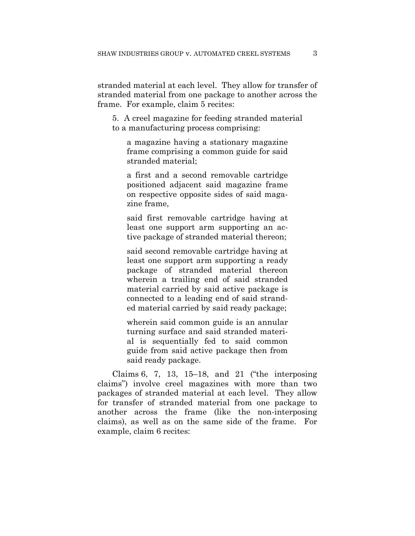stranded material at each level. They allow for transfer of stranded material from one package to another across the frame. For example, claim 5 recites:

5. A creel magazine for feeding stranded material to a manufacturing process comprising:

a magazine having a stationary magazine frame comprising a common guide for said stranded material;

a first and a second removable cartridge positioned adjacent said magazine frame on respective opposite sides of said magazine frame,

said first removable cartridge having at least one support arm supporting an active package of stranded material thereon;

said second removable cartridge having at least one support arm supporting a ready package of stranded material thereon wherein a trailing end of said stranded material carried by said active package is connected to a leading end of said stranded material carried by said ready package;

wherein said common guide is an annular turning surface and said stranded material is sequentially fed to said common guide from said active package then from said ready package.

Claims 6, 7, 13, 15–18, and 21 ("the interposing claims") involve creel magazines with more than two packages of stranded material at each level. They allow for transfer of stranded material from one package to another across the frame (like the non-interposing claims), as well as on the same side of the frame. For example, claim 6 recites: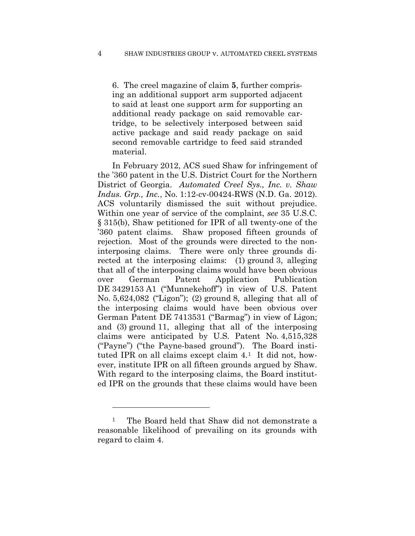6. The creel magazine of claim **5**, further comprising an additional support arm supported adjacent to said at least one support arm for supporting an additional ready package on said removable cartridge, to be selectively interposed between said active package and said ready package on said second removable cartridge to feed said stranded material.

In February 2012, ACS sued Shaw for infringement of the '360 patent in the U.S. District Court for the Northern District of Georgia. *Automated Creel Sys., Inc. v. Shaw Indus. Grp., Inc.*, No. 1:12-cv-00424-RWS (N.D. Ga. 2012). ACS voluntarily dismissed the suit without prejudice. Within one year of service of the complaint, *see* 35 U.S.C. § 315(b), Shaw petitioned for IPR of all twenty-one of the '360 patent claims. Shaw proposed fifteen grounds of rejection. Most of the grounds were directed to the noninterposing claims. There were only three grounds directed at the interposing claims: (1) ground 3, alleging that all of the interposing claims would have been obvious over German Patent Application Publication DE 3429153 A1 ("Munnekehoff") in view of U.S. Patent No. 5,624,082 ("Ligon"); (2) ground 8, alleging that all of the interposing claims would have been obvious over German Patent DE 7413531 ("Barmag") in view of Ligon; and (3) ground 11, alleging that all of the interposing claims were anticipated by U.S. Patent No. 4,515,328 ("Payne") ("the Payne-based ground"). The Board instituted IPR on all claims except claim 4.1 It did not, however, institute IPR on all fifteen grounds argued by Shaw. With regard to the interposing claims, the Board instituted IPR on the grounds that these claims would have been

<sup>&</sup>lt;sup>1</sup> The Board held that Shaw did not demonstrate a reasonable likelihood of prevailing on its grounds with regard to claim 4.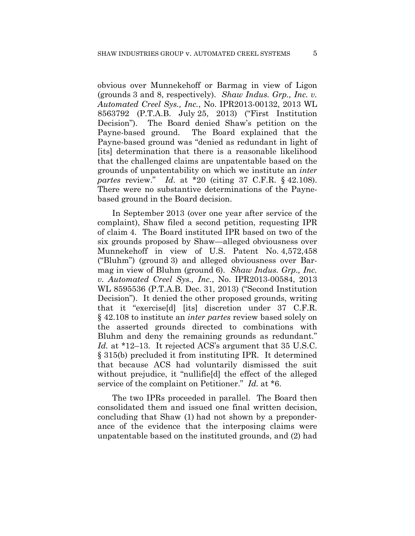obvious over Munnekehoff or Barmag in view of Ligon (grounds 3 and 8, respectively). *Shaw Indus. Grp., Inc. v. Automated Creel Sys., Inc.*, No. IPR2013-00132, 2013 WL 8563792 (P.T.A.B. July 25, 2013) ("First Institution Decision"). The Board denied Shaw's petition on the Payne-based ground. The Board explained that the Payne-based ground was "denied as redundant in light of [its] determination that there is a reasonable likelihood that the challenged claims are unpatentable based on the grounds of unpatentability on which we institute an *inter partes* review." *Id.* at \*20 (citing 37 C.F.R. § 42.108). There were no substantive determinations of the Paynebased ground in the Board decision.

In September 2013 (over one year after service of the complaint), Shaw filed a second petition, requesting IPR of claim 4. The Board instituted IPR based on two of the six grounds proposed by Shaw—alleged obviousness over Munnekehoff in view of U.S. Patent No. 4,572,458 ("Bluhm") (ground 3) and alleged obviousness over Barmag in view of Bluhm (ground 6). *Shaw Indus. Grp., Inc. v. Automated Creel Sys., Inc.*, No. IPR2013-00584, 2013 WL 8595536 (P.T.A.B. Dec. 31, 2013) ("Second Institution Decision"). It denied the other proposed grounds, writing that it "exercise[d] [its] discretion under 37 C.F.R. § 42.108 to institute an *inter partes* review based solely on the asserted grounds directed to combinations with Bluhm and deny the remaining grounds as redundant." *Id.* at \*12–13. It rejected ACS's argument that 35 U.S.C. § 315(b) precluded it from instituting IPR. It determined that because ACS had voluntarily dismissed the suit without prejudice, it "nullifie[d] the effect of the alleged service of the complaint on Petitioner." *Id.* at \*6.

The two IPRs proceeded in parallel. The Board then consolidated them and issued one final written decision, concluding that Shaw (1) had not shown by a preponderance of the evidence that the interposing claims were unpatentable based on the instituted grounds, and (2) had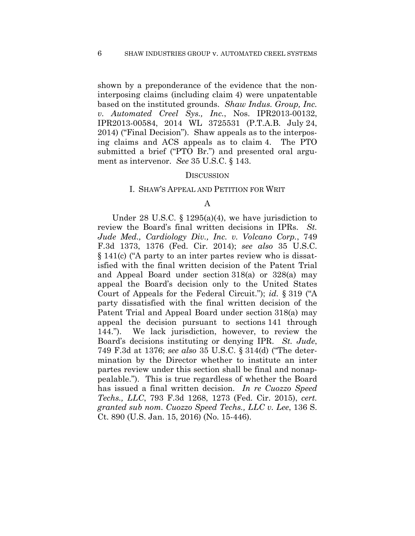shown by a preponderance of the evidence that the noninterposing claims (including claim 4) were unpatentable based on the instituted grounds. *Shaw Indus. Group, Inc. v. Automated Creel Sys., Inc.*, Nos. IPR2013-00132, IPR2013-00584, 2014 WL 3725531 (P.T.A.B. July 24, 2014) ("Final Decision"). Shaw appeals as to the interposing claims and ACS appeals as to claim 4. The PTO submitted a brief ("PTO Br.") and presented oral argument as intervenor. *See* 35 U.S.C. § 143.

#### **DISCUSSION**

#### I. SHAW'S APPEAL AND PETITION FOR WRIT

### A

Under 28 U.S.C. § 1295(a)(4), we have jurisdiction to review the Board's final written decisions in IPRs. *St. Jude Med., Cardiology Div., Inc. v. Volcano Corp.*, 749 F.3d 1373, 1376 (Fed. Cir. 2014); *see also* 35 U.S.C. § 141(c) ("A party to an inter partes review who is dissatisfied with the final written decision of the Patent Trial and Appeal Board under section 318(a) or 328(a) may appeal the Board's decision only to the United States Court of Appeals for the Federal Circuit."); *id.* § 319 ("A party dissatisfied with the final written decision of the Patent Trial and Appeal Board under section 318(a) may appeal the decision pursuant to sections 141 through 144."). We lack jurisdiction, however, to review the Board's decisions instituting or denying IPR. *St. Jude*, 749 F.3d at 1376; *see also* 35 U.S.C. § 314(d) ("The determination by the Director whether to institute an inter partes review under this section shall be final and nonappealable."). This is true regardless of whether the Board has issued a final written decision. *In re Cuozzo Speed Techs., LLC*, 793 F.3d 1268, 1273 (Fed. Cir. 2015), *cert. granted sub nom. Cuozzo Speed Techs., LLC v. Lee*, 136 S. Ct. 890 (U.S. Jan. 15, 2016) (No. 15-446).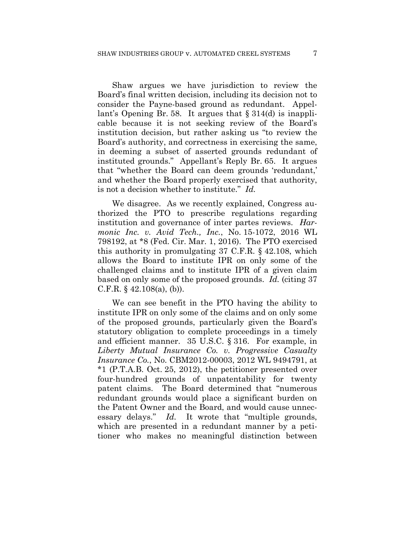Shaw argues we have jurisdiction to review the Board's final written decision, including its decision not to consider the Payne-based ground as redundant. Appellant's Opening Br. 58. It argues that § 314(d) is inapplicable because it is not seeking review of the Board's institution decision, but rather asking us "to review the Board's authority, and correctness in exercising the same, in deeming a subset of asserted grounds redundant of instituted grounds." Appellant's Reply Br. 65. It argues that "whether the Board can deem grounds 'redundant,' and whether the Board properly exercised that authority, is not a decision whether to institute." *Id.*

We disagree. As we recently explained, Congress authorized the PTO to prescribe regulations regarding institution and governance of inter partes reviews. *Harmonic Inc. v. Avid Tech., Inc.*, No. 15-1072, 2016 WL 798192, at \*8 (Fed. Cir. Mar. 1, 2016). The PTO exercised this authority in promulgating 37 C.F.R. § 42.108, which allows the Board to institute IPR on only some of the challenged claims and to institute IPR of a given claim based on only some of the proposed grounds. *Id.* (citing 37 C.F.R.  $\S$  42.108(a), (b)).

We can see benefit in the PTO having the ability to institute IPR on only some of the claims and on only some of the proposed grounds, particularly given the Board's statutory obligation to complete proceedings in a timely and efficient manner. 35 U.S.C. § 316. For example, in *Liberty Mutual Insurance Co. v. Progressive Casualty Insurance Co.*, No. CBM2012-00003, 2012 WL 9494791, at \*1 (P.T.A.B. Oct. 25, 2012), the petitioner presented over four-hundred grounds of unpatentability for twenty patent claims. The Board determined that "numerous redundant grounds would place a significant burden on the Patent Owner and the Board, and would cause unnecessary delays." *Id.* It wrote that "multiple grounds, which are presented in a redundant manner by a petitioner who makes no meaningful distinction between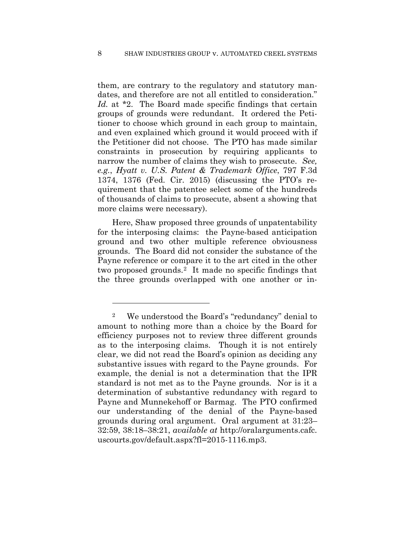them, are contrary to the regulatory and statutory mandates, and therefore are not all entitled to consideration." *Id.* at \*2. The Board made specific findings that certain groups of grounds were redundant. It ordered the Petitioner to choose which ground in each group to maintain, and even explained which ground it would proceed with if the Petitioner did not choose. The PTO has made similar constraints in prosecution by requiring applicants to narrow the number of claims they wish to prosecute. *See, e.g.*, *Hyatt v. U.S. Patent & Trademark Office*, 797 F.3d 1374, 1376 (Fed. Cir. 2015) (discussing the PTO's requirement that the patentee select some of the hundreds of thousands of claims to prosecute, absent a showing that more claims were necessary).

Here, Shaw proposed three grounds of unpatentability for the interposing claims: the Payne-based anticipation ground and two other multiple reference obviousness grounds. The Board did not consider the substance of the Payne reference or compare it to the art cited in the other two proposed grounds.2 It made no specific findings that the three grounds overlapped with one another or in-

<sup>2</sup> We understood the Board's "redundancy" denial to amount to nothing more than a choice by the Board for efficiency purposes not to review three different grounds as to the interposing claims. Though it is not entirely clear, we did not read the Board's opinion as deciding any substantive issues with regard to the Payne grounds. For example, the denial is not a determination that the IPR standard is not met as to the Payne grounds. Nor is it a determination of substantive redundancy with regard to Payne and Munnekehoff or Barmag. The PTO confirmed our understanding of the denial of the Payne-based grounds during oral argument. Oral argument at 31:23– 32:59, 38:18–38:21, *available at* http://oralarguments.cafc. uscourts.gov/default.aspx?fl=2015-1116.mp3.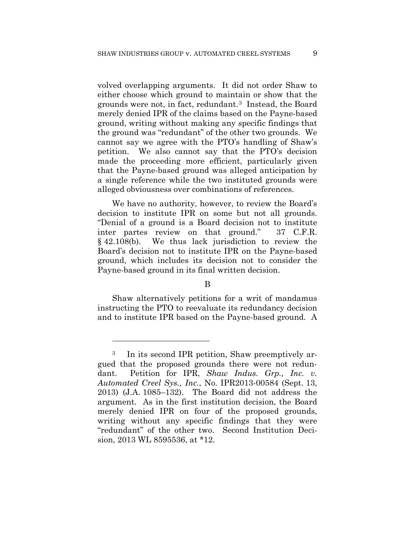volved overlapping arguments. It did not order Shaw to either choose which ground to maintain or show that the grounds were not, in fact, redundant.3 Instead, the Board merely denied IPR of the claims based on the Payne-based ground, writing without making any specific findings that the ground was "redundant" of the other two grounds. We cannot say we agree with the PTO's handling of Shaw's petition. We also cannot say that the PTO's decision made the proceeding more efficient, particularly given that the Payne-based ground was alleged anticipation by a single reference while the two instituted grounds were alleged obviousness over combinations of references.

We have no authority, however, to review the Board's decision to institute IPR on some but not all grounds. "Denial of a ground is a Board decision not to institute inter partes review on that ground." 37 C.F.R. § 42.108(b). We thus lack jurisdiction to review the Board's decision not to institute IPR on the Payne-based ground, which includes its decision not to consider the Payne-based ground in its final written decision.

# B

Shaw alternatively petitions for a writ of mandamus instructing the PTO to reevaluate its redundancy decision and to institute IPR based on the Payne-based ground. A

<u>.</u>

In its second IPR petition, Shaw preemptively argued that the proposed grounds there were not redundant. Petition for IPR, *Shaw Indus. Grp., Inc. v. Automated Creel Sys., Inc.*, No. IPR2013-00584 (Sept. 13, 2013) (J.A. 1085–132). The Board did not address the argument. As in the first institution decision, the Board merely denied IPR on four of the proposed grounds, writing without any specific findings that they were "redundant" of the other two. Second Institution Decision, 2013 WL 8595536, at \*12.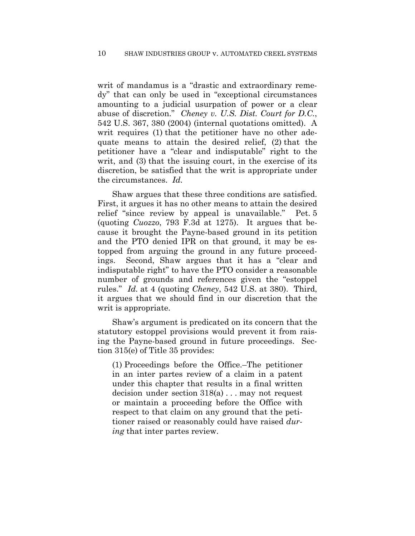writ of mandamus is a "drastic and extraordinary remedy" that can only be used in "exceptional circumstances amounting to a judicial usurpation of power or a clear abuse of discretion." *Cheney v. U.S. Dist. Court for D.C.*, 542 U.S. 367, 380 (2004) (internal quotations omitted). A writ requires (1) that the petitioner have no other adequate means to attain the desired relief, (2) that the petitioner have a "clear and indisputable" right to the writ, and (3) that the issuing court, in the exercise of its discretion, be satisfied that the writ is appropriate under the circumstances. *Id.*

Shaw argues that these three conditions are satisfied. First, it argues it has no other means to attain the desired relief "since review by appeal is unavailable." Pet. 5 (quoting *Cuozzo*, 793 F.3d at 1275). It argues that because it brought the Payne-based ground in its petition and the PTO denied IPR on that ground, it may be estopped from arguing the ground in any future proceedings. Second, Shaw argues that it has a "clear and indisputable right" to have the PTO consider a reasonable number of grounds and references given the "estoppel rules." *Id.* at 4 (quoting *Cheney*, 542 U.S. at 380). Third, it argues that we should find in our discretion that the writ is appropriate.

Shaw's argument is predicated on its concern that the statutory estoppel provisions would prevent it from raising the Payne-based ground in future proceedings. Section 315(e) of Title 35 provides:

(1) Proceedings before the Office.–The petitioner in an inter partes review of a claim in a patent under this chapter that results in a final written decision under section 318(a) . . . may not request or maintain a proceeding before the Office with respect to that claim on any ground that the petitioner raised or reasonably could have raised *during* that inter partes review.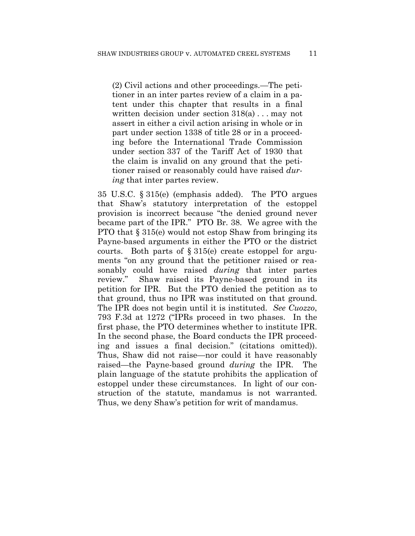(2) Civil actions and other proceedings.—The petitioner in an inter partes review of a claim in a patent under this chapter that results in a final written decision under section 318(a) . . . may not assert in either a civil action arising in whole or in part under section 1338 of title 28 or in a proceeding before the International Trade Commission under section 337 of the Tariff Act of 1930 that the claim is invalid on any ground that the petitioner raised or reasonably could have raised *during* that inter partes review.

35 U.S.C. § 315(e) (emphasis added). The PTO argues that Shaw's statutory interpretation of the estoppel provision is incorrect because "the denied ground never became part of the IPR." PTO Br. 38. We agree with the PTO that § 315(e) would not estop Shaw from bringing its Payne-based arguments in either the PTO or the district courts. Both parts of  $\S 315(e)$  create estoppel for arguments "on any ground that the petitioner raised or reasonably could have raised *during* that inter partes review." Shaw raised its Payne-based ground in its petition for IPR. But the PTO denied the petition as to that ground, thus no IPR was instituted on that ground. The IPR does not begin until it is instituted. *See Cuozzo*, 793 F.3d at 1272 ("IPRs proceed in two phases. In the first phase, the PTO determines whether to institute IPR. In the second phase, the Board conducts the IPR proceeding and issues a final decision." (citations omitted)). Thus, Shaw did not raise—nor could it have reasonably raised—the Payne-based ground *during* the IPR. The plain language of the statute prohibits the application of estoppel under these circumstances. In light of our construction of the statute, mandamus is not warranted. Thus, we deny Shaw's petition for writ of mandamus.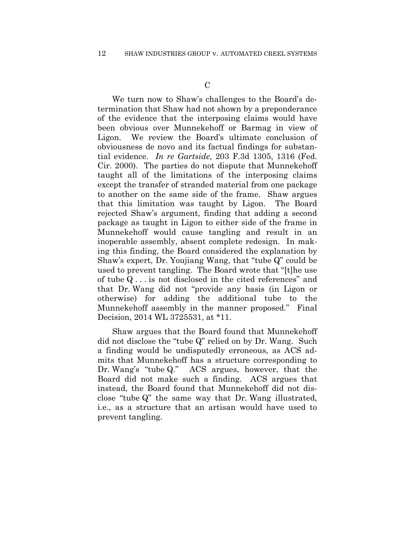We turn now to Shaw's challenges to the Board's determination that Shaw had not shown by a preponderance of the evidence that the interposing claims would have been obvious over Munnekehoff or Barmag in view of Ligon. We review the Board's ultimate conclusion of obviousness de novo and its factual findings for substantial evidence. *In re Gartside*, 203 F.3d 1305, 1316 (Fed. Cir. 2000). The parties do not dispute that Munnekehoff taught all of the limitations of the interposing claims except the transfer of stranded material from one package to another on the same side of the frame. Shaw argues that this limitation was taught by Ligon. The Board rejected Shaw's argument, finding that adding a second package as taught in Ligon to either side of the frame in Munnekehoff would cause tangling and result in an inoperable assembly, absent complete redesign. In making this finding, the Board considered the explanation by Shaw's expert, Dr. Youjiang Wang, that "tube Q" could be used to prevent tangling. The Board wrote that "[t]he use of tube Q . . . is not disclosed in the cited references" and that Dr. Wang did not "provide any basis (in Ligon or otherwise) for adding the additional tube to the Munnekehoff assembly in the manner proposed." Final Decision, 2014 WL 3725531, at \*11.

Shaw argues that the Board found that Munnekehoff did not disclose the "tube Q" relied on by Dr. Wang. Such a finding would be undisputedly erroneous, as ACS admits that Munnekehoff has a structure corresponding to Dr. Wang's "tube Q." ACS argues, however, that the Board did not make such a finding. ACS argues that instead, the Board found that Munnekehoff did not disclose "tube Q" the same way that Dr. Wang illustrated, i.e., as a structure that an artisan would have used to prevent tangling.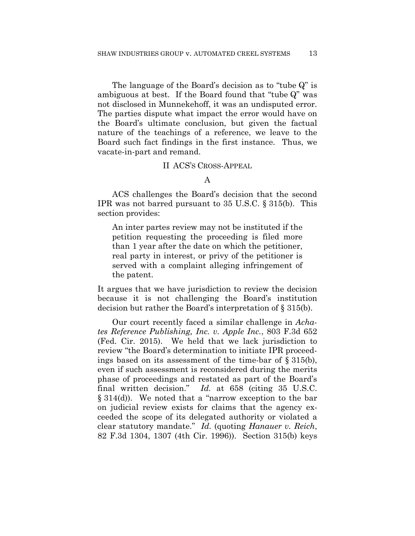The language of the Board's decision as to "tube Q" is ambiguous at best. If the Board found that "tube Q" was not disclosed in Munnekehoff, it was an undisputed error. The parties dispute what impact the error would have on the Board's ultimate conclusion, but given the factual nature of the teachings of a reference, we leave to the Board such fact findings in the first instance. Thus, we vacate-in-part and remand.

### II ACS'S CROSS-APPEAL

ACS challenges the Board's decision that the second IPR was not barred pursuant to 35 U.S.C. § 315(b). This section provides:

An inter partes review may not be instituted if the petition requesting the proceeding is filed more than 1 year after the date on which the petitioner, real party in interest, or privy of the petitioner is served with a complaint alleging infringement of the patent.

It argues that we have jurisdiction to review the decision because it is not challenging the Board's institution decision but rather the Board's interpretation of § 315(b).

Our court recently faced a similar challenge in *Achates Reference Publishing, Inc. v. Apple Inc.*, 803 F.3d 652 (Fed. Cir. 2015). We held that we lack jurisdiction to review "the Board's determination to initiate IPR proceedings based on its assessment of the time-bar of § 315(b), even if such assessment is reconsidered during the merits phase of proceedings and restated as part of the Board's final written decision." *Id.* at 658 (citing 35 U.S.C. § 314(d)). We noted that a "narrow exception to the bar on judicial review exists for claims that the agency exceeded the scope of its delegated authority or violated a clear statutory mandate." *Id.* (quoting *Hanauer v. Reich*, 82 F.3d 1304, 1307 (4th Cir. 1996)). Section 315(b) keys

A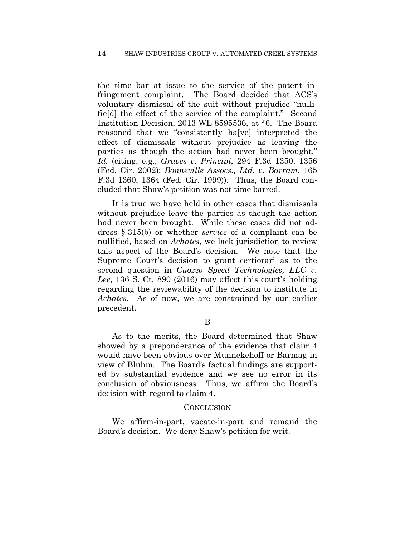the time bar at issue to the service of the patent infringement complaint. The Board decided that ACS's voluntary dismissal of the suit without prejudice "nullifie[d] the effect of the service of the complaint." Second Institution Decision, 2013 WL 8595536, at \*6. The Board reasoned that we "consistently ha[ve] interpreted the effect of dismissals without prejudice as leaving the parties as though the action had never been brought." *Id.* (citing, e.g., *Graves v. Principi*, 294 F.3d 1350, 1356 (Fed. Cir. 2002); *Bonneville Assocs., Ltd. v. Barram*, 165 F.3d 1360, 1364 (Fed. Cir. 1999)). Thus, the Board concluded that Shaw's petition was not time barred.

It is true we have held in other cases that dismissals without prejudice leave the parties as though the action had never been brought. While these cases did not address § 315(b) or whether *service* of a complaint can be nullified, based on *Achates*, we lack jurisdiction to review this aspect of the Board's decision. We note that the Supreme Court's decision to grant certiorari as to the second question in *Cuozzo Speed Technologies, LLC v. Lee*, 136 S. Ct. 890 (2016) may affect this court's holding regarding the reviewability of the decision to institute in *Achates*. As of now, we are constrained by our earlier precedent.

B

As to the merits, the Board determined that Shaw showed by a preponderance of the evidence that claim 4 would have been obvious over Munnekehoff or Barmag in view of Bluhm. The Board's factual findings are supported by substantial evidence and we see no error in its conclusion of obviousness. Thus, we affirm the Board's decision with regard to claim 4.

### CONCLUSION

We affirm-in-part, vacate-in-part and remand the Board's decision. We deny Shaw's petition for writ.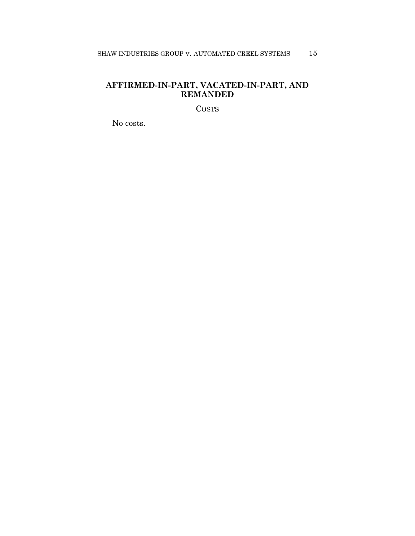# **AFFIRMED-IN-PART, VACATED-IN-PART, AND REMANDED**

COSTS

No costs.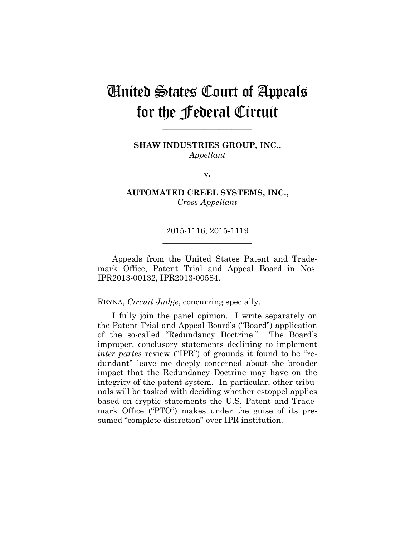# United States Court of Appeals for the Federal Circuit

**SHAW INDUSTRIES GROUP, INC.,** *Appellant*

**\_\_\_\_\_\_\_\_\_\_\_\_\_\_\_\_\_\_\_\_\_\_** 

**v.**

**AUTOMATED CREEL SYSTEMS, INC.,** *Cross-Appellant*

**\_\_\_\_\_\_\_\_\_\_\_\_\_\_\_\_\_\_\_\_\_\_** 

# 2015-1116, 2015-1119 **\_\_\_\_\_\_\_\_\_\_\_\_\_\_\_\_\_\_\_\_\_\_**

Appeals from the United States Patent and Trademark Office, Patent Trial and Appeal Board in Nos. IPR2013-00132, IPR2013-00584.

**\_\_\_\_\_\_\_\_\_\_\_\_\_\_\_\_\_\_\_\_\_\_** 

REYNA, *Circuit Judge*, concurring specially.

I fully join the panel opinion. I write separately on the Patent Trial and Appeal Board's ("Board") application of the so-called "Redundancy Doctrine." The Board's improper, conclusory statements declining to implement *inter partes* review ("IPR") of grounds it found to be "redundant" leave me deeply concerned about the broader impact that the Redundancy Doctrine may have on the integrity of the patent system. In particular, other tribunals will be tasked with deciding whether estoppel applies based on cryptic statements the U.S. Patent and Trademark Office ("PTO") makes under the guise of its presumed "complete discretion" over IPR institution.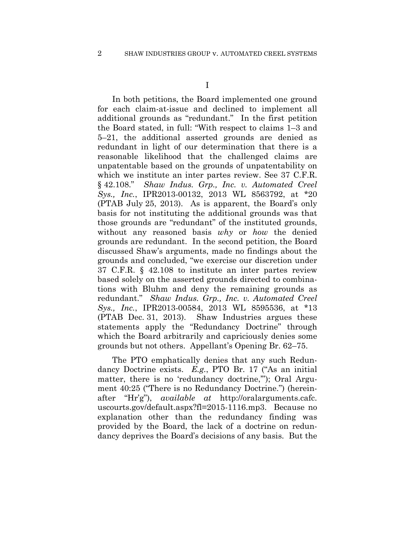I

In both petitions, the Board implemented one ground for each claim-at-issue and declined to implement all additional grounds as "redundant." In the first petition the Board stated, in full: "With respect to claims 1–3 and 5–21, the additional asserted grounds are denied as redundant in light of our determination that there is a reasonable likelihood that the challenged claims are unpatentable based on the grounds of unpatentability on which we institute an inter partes review. See 37 C.F.R. § 42.108." *Shaw Indus. Grp., Inc. v. Automated Creel Sys., Inc.*, IPR2013-00132, 2013 WL 8563792, at \*20 (PTAB July 25, 2013). As is apparent, the Board's only basis for not instituting the additional grounds was that those grounds are "redundant" of the instituted grounds, without any reasoned basis *why* or *how* the denied grounds are redundant. In the second petition, the Board discussed Shaw's arguments, made no findings about the grounds and concluded, "we exercise our discretion under 37 C.F.R. § 42.108 to institute an inter partes review based solely on the asserted grounds directed to combinations with Bluhm and deny the remaining grounds as redundant." *Shaw Indus. Grp., Inc. v. Automated Creel Sys., Inc.*, IPR2013-00584, 2013 WL 8595536, at \*13 (PTAB Dec. 31, 2013). Shaw Industries argues these statements apply the "Redundancy Doctrine" through which the Board arbitrarily and capriciously denies some grounds but not others. Appellant's Opening Br. 62–75.

The PTO emphatically denies that any such Redundancy Doctrine exists. *E.g.*, PTO Br. 17 ("As an initial matter, there is no 'redundancy doctrine,""); Oral Argument 40:25 ("There is no Redundancy Doctrine.") (hereinafter "Hr'g"), *available at* http://oralarguments.cafc. uscourts.gov/default.aspx?fl=2015-1116.mp3. Because no explanation other than the redundancy finding was provided by the Board, the lack of a doctrine on redundancy deprives the Board's decisions of any basis. But the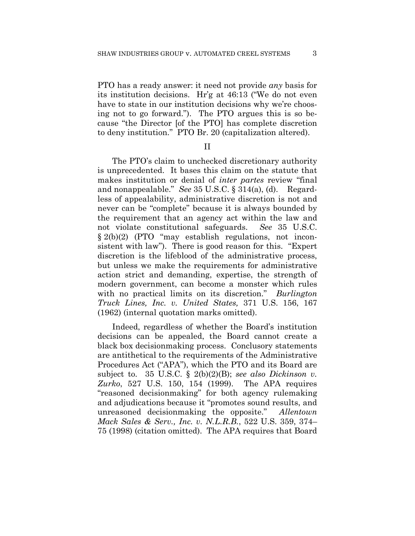PTO has a ready answer: it need not provide *any* basis for its institution decisions. Hr'g at 46:13 ("We do not even have to state in our institution decisions why we're choosing not to go forward."). The PTO argues this is so because "the Director [of the PTO] has complete discretion to deny institution." PTO Br. 20 (capitalization altered).

II

The PTO's claim to unchecked discretionary authority is unprecedented. It bases this claim on the statute that makes institution or denial of *inter partes* review "final and nonappealable." *See* 35 U.S.C. § 314(a), (d). Regardless of appealability, administrative discretion is not and never can be "complete" because it is always bounded by the requirement that an agency act within the law and not violate constitutional safeguards. *See* 35 U.S.C. § 2(b)(2) (PTO "may establish regulations, not inconsistent with law"). There is good reason for this. "Expert discretion is the lifeblood of the administrative process, but unless we make the requirements for administrative action strict and demanding, expertise, the strength of modern government, can become a monster which rules with no practical limits on its discretion." *Burlington Truck Lines, Inc. v. United States,* 371 U.S. 156, 167 (1962) (internal quotation marks omitted).

Indeed, regardless of whether the Board's institution decisions can be appealed, the Board cannot create a black box decisionmaking process. Conclusory statements are antithetical to the requirements of the Administrative Procedures Act ("APA"), which the PTO and its Board are subject to. 35 U.S.C. § 2(b)(2)(B); *see also Dickinson v. Zurko*, 527 U.S. 150, 154 (1999). The APA requires "reasoned decisionmaking" for both agency rulemaking and adjudications because it "promotes sound results, and unreasoned decisionmaking the opposite." *Allentown Mack Sales & Serv., Inc. v. N.L.R.B.*, 522 U.S. 359, 374– 75 (1998) (citation omitted). The APA requires that Board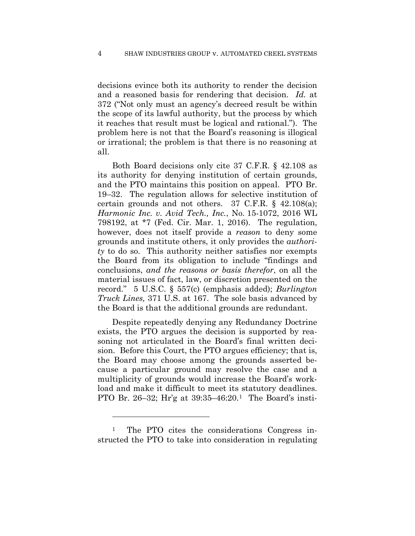decisions evince both its authority to render the decision and a reasoned basis for rendering that decision. *Id.* at 372 ("Not only must an agency's decreed result be within the scope of its lawful authority, but the process by which it reaches that result must be logical and rational."). The problem here is not that the Board's reasoning is illogical or irrational; the problem is that there is no reasoning at all.

Both Board decisions only cite 37 C.F.R. § 42.108 as its authority for denying institution of certain grounds, and the PTO maintains this position on appeal. PTO Br. 19–32. The regulation allows for selective institution of certain grounds and not others. 37 C.F.R. § 42.108(a); *Harmonic Inc. v. Avid Tech., Inc.*, No. 15-1072, 2016 WL 798192, at \*7 (Fed. Cir. Mar. 1, 2016). The regulation, however, does not itself provide a *reason* to deny some grounds and institute others, it only provides the *authority* to do so. This authority neither satisfies nor exempts the Board from its obligation to include "findings and conclusions, *and the reasons or basis therefor*, on all the material issues of fact, law, or discretion presented on the record." 5 U.S.C. § 557(c) (emphasis added); *Burlington Truck Lines,* 371 U.S. at 167. The sole basis advanced by the Board is that the additional grounds are redundant.

Despite repeatedly denying any Redundancy Doctrine exists, the PTO argues the decision is supported by reasoning not articulated in the Board's final written decision. Before this Court, the PTO argues efficiency; that is, the Board may choose among the grounds asserted because a particular ground may resolve the case and a multiplicity of grounds would increase the Board's workload and make it difficult to meet its statutory deadlines. PTO Br. 26–32; Hr'g at 39:35–46:20.1 The Board's insti-

<sup>1</sup> The PTO cites the considerations Congress instructed the PTO to take into consideration in regulating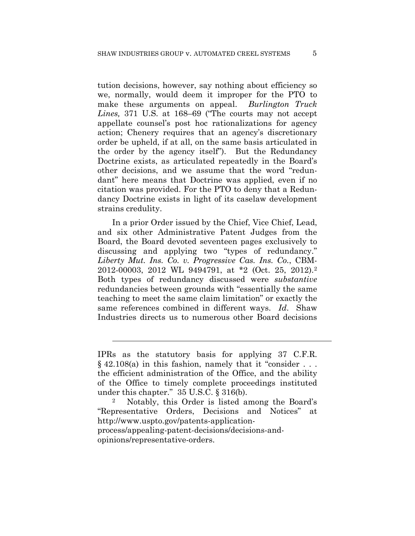tution decisions, however, say nothing about efficiency so we, normally, would deem it improper for the PTO to make these arguments on appeal. *Burlington Truck Lines,* 371 U.S. at 168–69 ("The courts may not accept appellate counsel's post hoc rationalizations for agency action; Chenery requires that an agency's discretionary order be upheld, if at all, on the same basis articulated in the order by the agency itself"). But the Redundancy Doctrine exists, as articulated repeatedly in the Board's other decisions, and we assume that the word "redundant" here means that Doctrine was applied, even if no citation was provided. For the PTO to deny that a Redundancy Doctrine exists in light of its caselaw development strains credulity.

In a prior Order issued by the Chief, Vice Chief, Lead, and six other Administrative Patent Judges from the Board, the Board devoted seventeen pages exclusively to discussing and applying two "types of redundancy." *Liberty Mut. Ins. Co. v. Progressive Cas. Ins. Co.*, CBM-2012-00003, 2012 WL 9494791, at \*2 (Oct. 25, 2012).2 Both types of redundancy discussed were *substantive* redundancies between grounds with "essentially the same teaching to meet the same claim limitation" or exactly the same references combined in different ways. *Id*. Shaw Industries directs us to numerous other Board decisions

opinions/representative-orders.

 $\overline{a}$ 

IPRs as the statutory basis for applying 37 C.F.R.  $§$  42.108(a) in this fashion, namely that it "consider ... the efficient administration of the Office, and the ability of the Office to timely complete proceedings instituted under this chapter." 35 U.S.C. § 316(b).

<sup>2</sup> Notably, this Order is listed among the Board's "Representative Orders, Decisions and Notices" at http://www.uspto.gov/patents-applicationprocess/appealing-patent-decisions/decisions-and-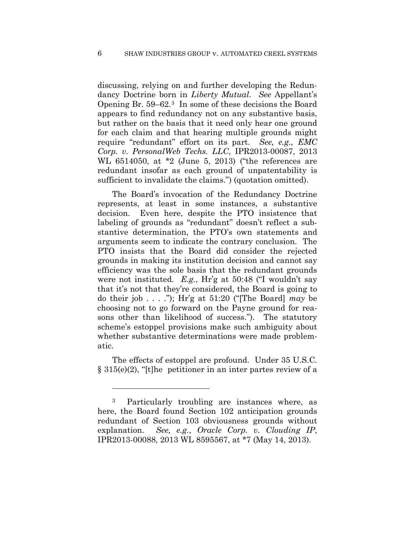discussing, relying on and further developing the Redundancy Doctrine born in *Liberty Mutual*. *See* Appellant's Opening Br. 59–62.3 In some of these decisions the Board appears to find redundancy not on any substantive basis, but rather on the basis that it need only hear one ground for each claim and that hearing multiple grounds might require "redundant" effort on its part. *See, e.g., EMC Corp. v. PersonalWeb Techs. LLC*, IPR2013-00087, 2013 WL 6514050, at \*2 (June 5, 2013) ("the references are redundant insofar as each ground of unpatentability is sufficient to invalidate the claims.") (quotation omitted).

The Board's invocation of the Redundancy Doctrine represents, at least in some instances, a substantive decision. Even here, despite the PTO insistence that labeling of grounds as "redundant" doesn't reflect a substantive determination, the PTO's own statements and arguments seem to indicate the contrary conclusion. The PTO insists that the Board did consider the rejected grounds in making its institution decision and cannot say efficiency was the sole basis that the redundant grounds were not instituted. *E.g.*, Hr'g at 50:48 ("I wouldn't say that it's not that they're considered, the Board is going to do their job . . . ."); Hr'g at 51:20 ("[The Board] *may* be choosing not to go forward on the Payne ground for reasons other than likelihood of success."). The statutory scheme's estoppel provisions make such ambiguity about whether substantive determinations were made problematic.

The effects of estoppel are profound. Under 35 U.S.C. § 315(e)(2), "[t]he petitioner in an inter partes review of a

<sup>3</sup> Particularly troubling are instances where, as here, the Board found Section 102 anticipation grounds redundant of Section 103 obviousness grounds without explanation. *See, e.g.*, *Oracle Corp. v. Clouding IP*, IPR2013-00088, 2013 WL 8595567, at \*7 (May 14, 2013).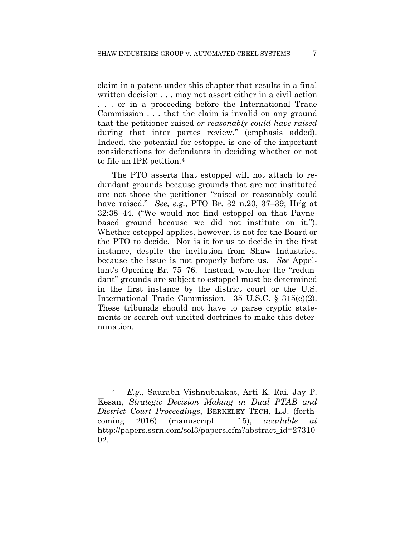claim in a patent under this chapter that results in a final written decision . . . may not assert either in a civil action . . . or in a proceeding before the International Trade Commission . . . that the claim is invalid on any ground that the petitioner raised *or reasonably could have raised* during that inter partes review." (emphasis added). Indeed, the potential for estoppel is one of the important considerations for defendants in deciding whether or not to file an IPR petition.4

The PTO asserts that estoppel will not attach to redundant grounds because grounds that are not instituted are not those the petitioner "raised or reasonably could have raised." *See, e.g.*, PTO Br. 32 n.20, 37–39; Hr'g at 32:38–44. ("We would not find estoppel on that Paynebased ground because we did not institute on it."). Whether estoppel applies, however, is not for the Board or the PTO to decide. Nor is it for us to decide in the first instance, despite the invitation from Shaw Industries, because the issue is not properly before us. *See* Appellant's Opening Br. 75–76. Instead, whether the "redundant" grounds are subject to estoppel must be determined in the first instance by the district court or the U.S. International Trade Commission. 35 U.S.C. § 315(e)(2). These tribunals should not have to parse cryptic statements or search out uncited doctrines to make this determination.

<sup>4</sup> *E.g.*, Saurabh Vishnubhakat, Arti K. Rai, Jay P. Kesan, *Strategic Decision Making in Dual PTAB and District Court Proceedings*, BERKELEY TECH, L.J. (forthcoming 2016) (manuscript 15), *available at* http://papers.ssrn.com/sol3/papers.cfm?abstract\_id=27310 02.